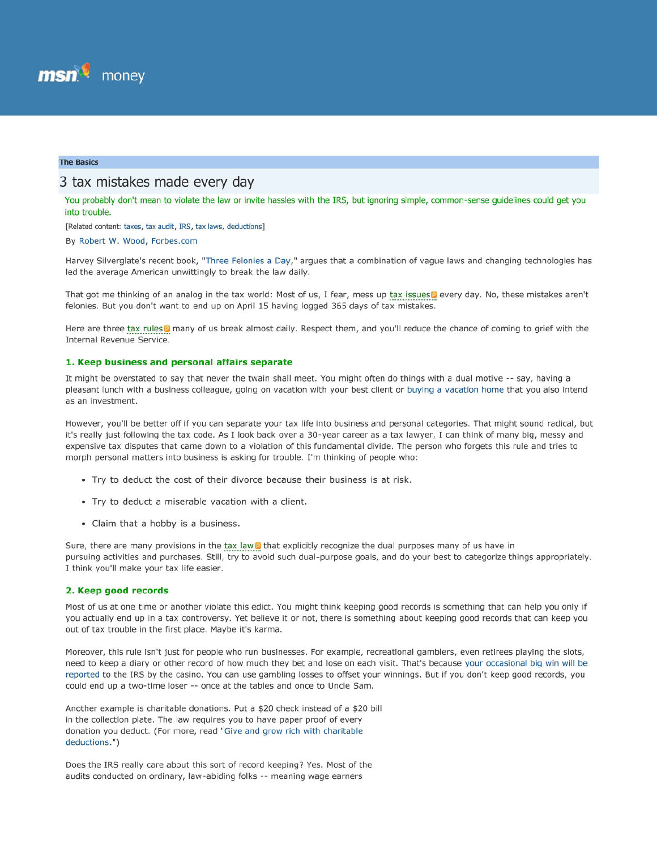

## **The Basics**

# 3 tax mistakes made every day

You probably don't mean to violate the law or invite hassles with the IRS, but ignoring simple, common-sense guidelines could get you into trouble.

[Related content: taxes, tax audit, IRS, tax laws, deductions]

By Robert W. Wood, Forbes.com

Harvey Silverglate's recent book, "Three Felonies a Day," argues that a combination of vague laws and changing technologies has led the average American unwittingly to break the law daily.

That got me thinking of an analog in the tax world: Most of us, I fear, mess up tax issues pevery day. No, these mistakes aren't felonies. But you don't want to end up on April 15 having logged 365 days of tax mistakes.

Here are three tax rules in many of us break almost daily. Respect them, and you'll reduce the chance of coming to grief with the Internal Revenue Service.

#### **1. Keep business and personal affairs separate**

It might be overstated to say that never the twain shall meet. You might often do things with a dual motive -- say, having a pleasant lunch with a business colleague, going on vacation with your best client or buying a vacation home that you also intend as an investment.

However, you'll be better off If you can separate your tax life into business and personal categories. That might sound radical, but it's really Just following the tax code. As I look back over a 3D-year career as a tax lawyer, I can think of many big, messy and expensive tax disputes that came down to a violation of this fundamental divide. The person who forgets this rule and tries to morph personal matters into business is asking for trouble. I'm thinking of people who:

- Try to deduct the cost of their divorce because their business is at risk.
- Try to deduct a miserable vacation with a client.
- Claim that a hobby is a business.

Sure, there are many provisions in the tax law I that explicitly recognize the dual purposes many of us have in pursuing activities and purchases. Still, try to avoid such dual-purpose goals, and do your best to categorize things appropriately. I think you'll make your tax life easier.

## **2. Keep good records**

Most of us at one time or another violate this edict. You might think keeping good records is something that can help you only if you actually end up in a tax controversy. Yet believe it or not, there is something about keeping good records that can keep you out of tax trouble in the first place. Maybe it's karma.

Moreover, this rule isn't just for people who run businesses. For example, recreational gamblers, even retirees playing the slots, need to keep a diary or other record of how much they bet and lose on each visit. That's because your occasional big win will be reported to the IRS by the casino. You can use gambling losses to offset your winnings. But if you don't keep good records, you could end up a two-time loser -- once at the tables and once to Uncle Sam.

Another example is charitable donations. Put a \$20 check instead of a \$20 bill in the collection plate. The law requires you to have paper proof of every donation you deduct. (For more, read "Give and grow rich with charitable deductions .")

Does the IRS really care about this sort of record keeping? Yes. Most of the audits conducted on ordinary, law-abiding folks -- meaning wage earners